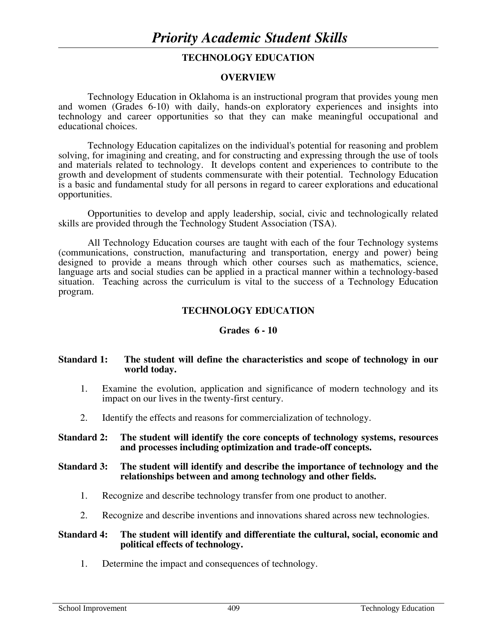# **TECHNOLOGY EDUCATION**

#### **OVERVIEW**

Technology Education in Oklahoma is an instructional program that provides young men and women (Grades 6-10) with daily, hands-on exploratory experiences and insights into technology and career opportunities so that they can make meaningful occupational and educational choices.

 Technology Education capitalizes on the individual's potential for reasoning and problem solving, for imagining and creating, and for constructing and expressing through the use of tools and materials related to technology. It develops content and experiences to contribute to the growth and development of students commensurate with their potential. Technology Education is a basic and fundamental study for all persons in regard to career explorations and educational opportunities.

 Opportunities to develop and apply leadership, social, civic and technologically related skills are provided through the Technology Student Association (TSA).

 All Technology Education courses are taught with each of the four Technology systems (communications, construction, manufacturing and transportation, energy and power) being designed to provide a means through which other courses such as mathematics, science, language arts and social studies can be applied in a practical manner within a technology-based situation. Teaching across the curriculum is vital to the success of a Technology Education program.

### **TECHNOLOGY EDUCATION**

#### **Grades 6 - 10**

#### **Standard 1: The student will define the characteristics and scope of technology in our world today.**

- 1. Examine the evolution, application and significance of modern technology and its impact on our lives in the twenty-first century.
- 2. Identify the effects and reasons for commercialization of technology.

#### **Standard 2: The student will identify the core concepts of technology systems, resources and processes including optimization and trade-off concepts.**

#### **Standard 3: The student will identify and describe the importance of technology and the relationships between and among technology and other fields.**

- 1. Recognize and describe technology transfer from one product to another.
- 2. Recognize and describe inventions and innovations shared across new technologies.

#### **Standard 4: The student will identify and differentiate the cultural, social, economic and political effects of technology.**

1. Determine the impact and consequences of technology.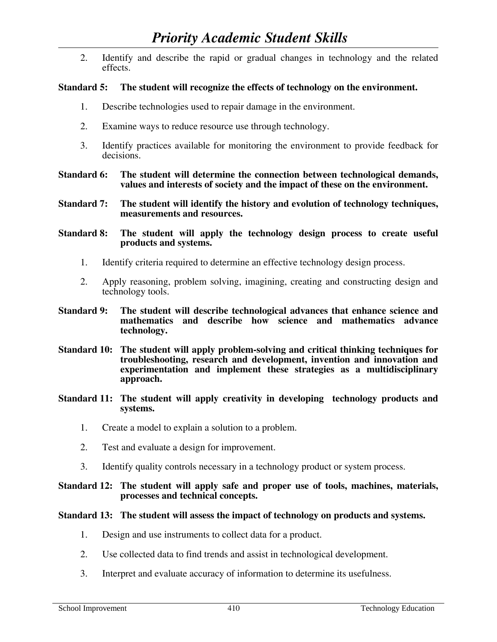2. Identify and describe the rapid or gradual changes in technology and the related effects.

# **Standard 5: The student will recognize the effects of technology on the environment.**

- 1. Describe technologies used to repair damage in the environment.
- 2. Examine ways to reduce resource use through technology.
- 3. Identify practices available for monitoring the environment to provide feedback for decisions.
- **Standard 6: The student will determine the connection between technological demands, values and interests of society and the impact of these on the environment.**
- **Standard 7: The student will identify the history and evolution of technology techniques, measurements and resources.**

**Standard 8: The student will apply the technology design process to create useful products and systems.** 

- 1. Identify criteria required to determine an effective technology design process.
- 2. Apply reasoning, problem solving, imagining, creating and constructing design and technology tools.
- **Standard 9: The student will describe technological advances that enhance science and mathematics and describe how science and mathematics advance technology.**
- **Standard 10: The student will apply problem-solving and critical thinking techniques for troubleshooting, research and development, invention and innovation and experimentation and implement these strategies as a multidisciplinary approach.**
- **Standard 11: The student will apply creativity in developing technology products and systems.** 
	- 1. Create a model to explain a solution to a problem.
	- 2. Test and evaluate a design for improvement.
	- 3. Identify quality controls necessary in a technology product or system process.

## **Standard 12: The student will apply safe and proper use of tools, machines, materials, processes and technical concepts.**

## **Standard 13: The student will assess the impact of technology on products and systems.**

- 1. Design and use instruments to collect data for a product.
- 2. Use collected data to find trends and assist in technological development.
- 3. Interpret and evaluate accuracy of information to determine its usefulness.